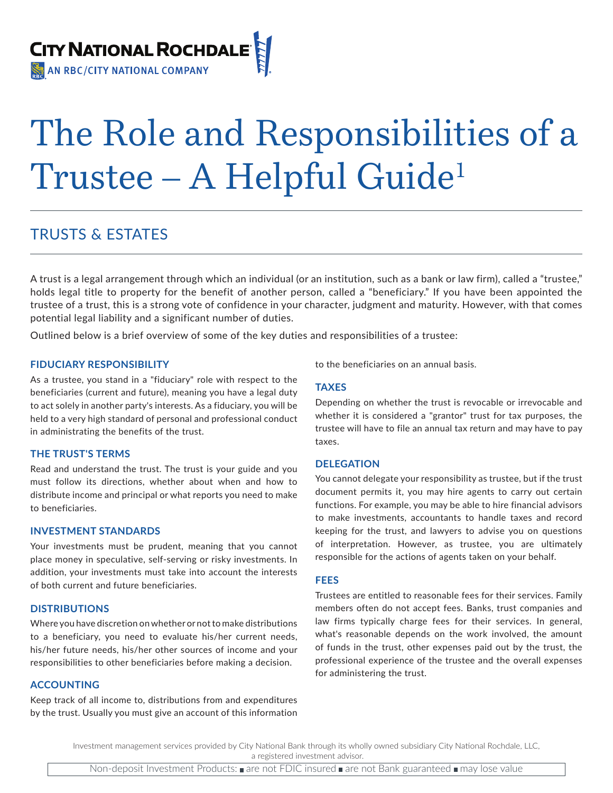

# The Role and Responsibilities of a Trustee – A Helpful Guide1

## TRUSTS & ESTATES

A trust is a legal arrangement through which an individual (or an institution, such as a bank or law firm), called a "trustee," holds legal title to property for the benefit of another person, called a "beneficiary." If you have been appointed the trustee of a trust, this is a strong vote of confidence in your character, judgment and maturity. However, with that comes potential legal liability and a significant number of duties.

Outlined below is a brief overview of some of the key duties and responsibilities of a trustee:

#### **FIDUCIARY RESPONSIBILITY**

As a trustee, you stand in a "fiduciary" role with respect to the beneficiaries (current and future), meaning you have a legal duty to act solely in another party's interests. As a fiduciary, you will be held to a very high standard of personal and professional conduct in administrating the benefits of the trust.

#### **THE TRUST'S TERMS**

Read and understand the trust. The trust is your guide and you must follow its directions, whether about when and how to distribute income and principal or what reports you need to make to beneficiaries.

#### **INVESTMENT STANDARDS**

Your investments must be prudent, meaning that you cannot place money in speculative, self-serving or risky investments. In addition, your investments must take into account the interests of both current and future beneficiaries.

#### **DISTRIBUTIONS**

Where you have discretion on whether or not to make distributions to a beneficiary, you need to evaluate his/her current needs, his/her future needs, his/her other sources of income and your responsibilities to other beneficiaries before making a decision.

#### **ACCOUNTING**

Keep track of all income to, distributions from and expenditures by the trust. Usually you must give an account of this information

to the beneficiaries on an annual basis.

#### **TAXES**

Depending on whether the trust is revocable or irrevocable and whether it is considered a "grantor" trust for tax purposes, the trustee will have to file an annual tax return and may have to pay taxes.

#### **DELEGATION**

You cannot delegate your responsibility as trustee, but if the trust document permits it, you may hire agents to carry out certain functions. For example, you may be able to hire financial advisors to make investments, accountants to handle taxes and record keeping for the trust, and lawyers to advise you on questions of interpretation. However, as trustee, you are ultimately responsible for the actions of agents taken on your behalf.

#### **FEES**

Trustees are entitled to reasonable fees for their services. Family members often do not accept fees. Banks, trust companies and law firms typically charge fees for their services. In general, what's reasonable depends on the work involved, the amount of funds in the trust, other expenses paid out by the trust, the professional experience of the trustee and the overall expenses for administering the trust.

Investment management services provided by City National Bank through its wholly owned subsidiary City National Rochdale, LLC, a registered investment advisor.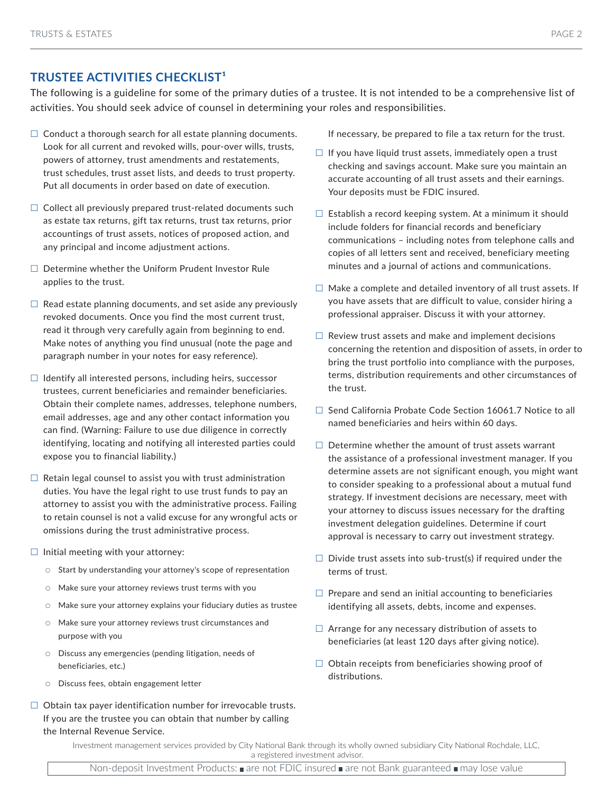### **TRUSTEE ACTIVITIES CHECKLIST<sup>1</sup>**

The following is a guideline for some of the primary duties of a trustee. It is not intended to be a comprehensive list of activities. You should seek advice of counsel in determining your roles and responsibilities.

- $\Box$  Conduct a thorough search for all estate planning documents. Look for all current and revoked wills, pour-over wills, trusts, powers of attorney, trust amendments and restatements, trust schedules, trust asset lists, and deeds to trust property. Put all documents in order based on date of execution.
- $\Box$  Collect all previously prepared trust-related documents such as estate tax returns, gift tax returns, trust tax returns, prior accountings of trust assets, notices of proposed action, and any principal and income adjustment actions.
- $\square$  Determine whether the Uniform Prudent Investor Rule applies to the trust.
- $\Box$  Read estate planning documents, and set aside any previously revoked documents. Once you find the most current trust, read it through very carefully again from beginning to end. Make notes of anything you find unusual (note the page and paragraph number in your notes for easy reference).
- $\Box$  Identify all interested persons, including heirs, successor trustees, current beneficiaries and remainder beneficiaries. Obtain their complete names, addresses, telephone numbers, email addresses, age and any other contact information you can find. (Warning: Failure to use due diligence in correctly identifying, locating and notifying all interested parties could expose you to financial liability.)
- $\Box$  Retain legal counsel to assist you with trust administration duties. You have the legal right to use trust funds to pay an attorney to assist you with the administrative process. Failing to retain counsel is not a valid excuse for any wrongful acts or omissions during the trust administrative process.
- $\Box$  Initial meeting with your attorney:
	- $\circ$  Start by understanding your attorney's scope of representation
	- Make sure your attorney reviews trust terms with you
	- Make sure your attorney explains your fiduciary duties as trustee
	- Make sure your attorney reviews trust circumstances and purpose with you
	- Discuss any emergencies (pending litigation, needs of beneficiaries, etc.)
	- Discuss fees, obtain engagement letter
- $\Box$  Obtain tax payer identification number for irrevocable trusts. If you are the trustee you can obtain that number by calling the Internal Revenue Service.

If necessary, be prepared to file a tax return for the trust.

- $\Box$  If you have liquid trust assets, immediately open a trust checking and savings account. Make sure you maintain an accurate accounting of all trust assets and their earnings. Your deposits must be FDIC insured.
- $\Box$  Establish a record keeping system. At a minimum it should include folders for financial records and beneficiary communications – including notes from telephone calls and copies of all letters sent and received, beneficiary meeting minutes and a journal of actions and communications.
- $\Box$  Make a complete and detailed inventory of all trust assets. If you have assets that are difficult to value, consider hiring a professional appraiser. Discuss it with your attorney.
- $\Box$  Review trust assets and make and implement decisions concerning the retention and disposition of assets, in order to bring the trust portfolio into compliance with the purposes, terms, distribution requirements and other circumstances of the trust.
- $\Box$  Send California Probate Code Section 16061.7 Notice to all named beneficiaries and heirs within 60 days.
- $\Box$  Determine whether the amount of trust assets warrant the assistance of a professional investment manager. If you determine assets are not significant enough, you might want to consider speaking to a professional about a mutual fund strategy. If investment decisions are necessary, meet with your attorney to discuss issues necessary for the drafting investment delegation guidelines. Determine if court approval is necessary to carry out investment strategy.
- $\Box$  Divide trust assets into sub-trust(s) if required under the terms of trust.
- $\Box$  Prepare and send an initial accounting to beneficiaries identifying all assets, debts, income and expenses.
- $\Box$  Arrange for any necessary distribution of assets to beneficiaries (at least 120 days after giving notice).
- $\Box$  Obtain receipts from beneficiaries showing proof of distributions.

Investment management services provided by City National Bank through its wholly owned subsidiary City National Rochdale, LLC,

a registered investment advisor.